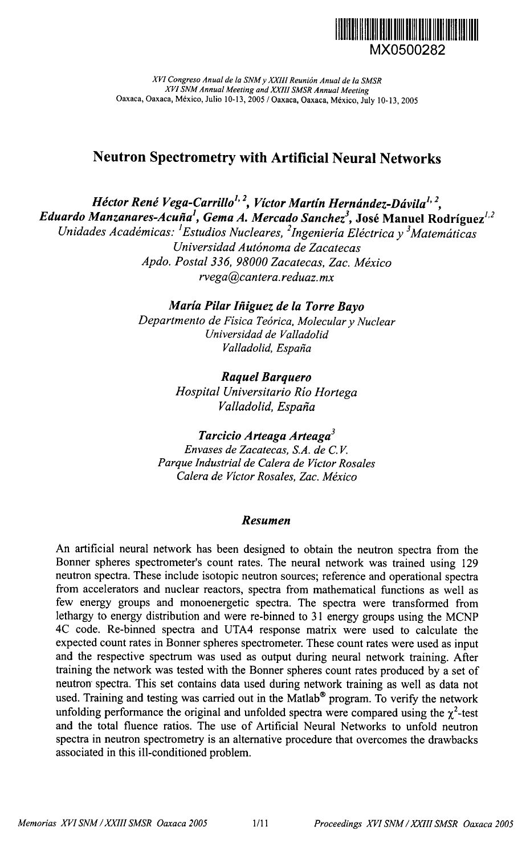

XVI Congreso Anual de la SNM y XXIII Reunión Anual de la SMSR XVI SNM Annual Meeting and XXIII SMSR Annual Meeting Oaxaca, Oaxaca, México, Julio 10-13, 2005 / Oaxaca, Oaxaca, México, July 10-13, 2005

# **Neutron Spectrometry with Artificial Neural Networks**

Héctor René Vega-Carrillo<sup>1, 2</sup>, Víctor Martín Hernández-Dávila<sup>1, 2</sup>, Eduardo Manzanares-Acuña<sup>1</sup>, Gema A. Mercado Sanchez<sup>3</sup>, José Manuel Rodríguez<sup>1,2</sup> Unidades Académicas: <sup>1</sup>Estudios Nucleares, <sup>2</sup>Ingeniería Eléctrica y <sup>3</sup>Matemáticas Universidad Autónoma de Zacatecas Apdo. Postal 336, 98000 Zacatecas, Zac. México rvega@cantera.reduaz.mx

> María Pilar Iñiguez de la Torre Bavo Departmento de Física Teórica, Molecular y Nuclear Universidad de Valladolid Valladolid, España

> > **Raquel Barquero** Hospital Universitario Río Hortega Valladolid, España

Tarcicio Arteaga Arteaga<sup>3</sup> Envases de Zacatecas. S.A. de C.V. Parque Industrial de Calera de Victor Rosales Calera de Victor Rosales, Zac. México

### Resumen

An artificial neural network has been designed to obtain the neutron spectra from the Bonner spheres spectrometer's count rates. The neural network was trained using 129 neutron spectra. These include isotopic neutron sources; reference and operational spectra from accelerators and nuclear reactors, spectra from mathematical functions as well as few energy groups and monoenergetic spectra. The spectra were transformed from lethargy to energy distribution and were re-binned to 31 energy groups using the MCNP 4C code. Re-binned spectra and UTA4 response matrix were used to calculate the expected count rates in Bonner spheres spectrometer. These count rates were used as input and the respective spectrum was used as output during neural network training. After training the network was tested with the Bonner spheres count rates produced by a set of neutron spectra. This set contains data used during network training as well as data not used. Training and testing was carried out in the Matlab® program. To verify the network unfolding performance the original and unfolded spectra were compared using the  $\gamma^2$ -test and the total fluence ratios. The use of Artificial Neural Networks to unfold neutron spectra in neutron spectrometry is an alternative procedure that overcomes the drawbacks associated in this ill-conditioned problem.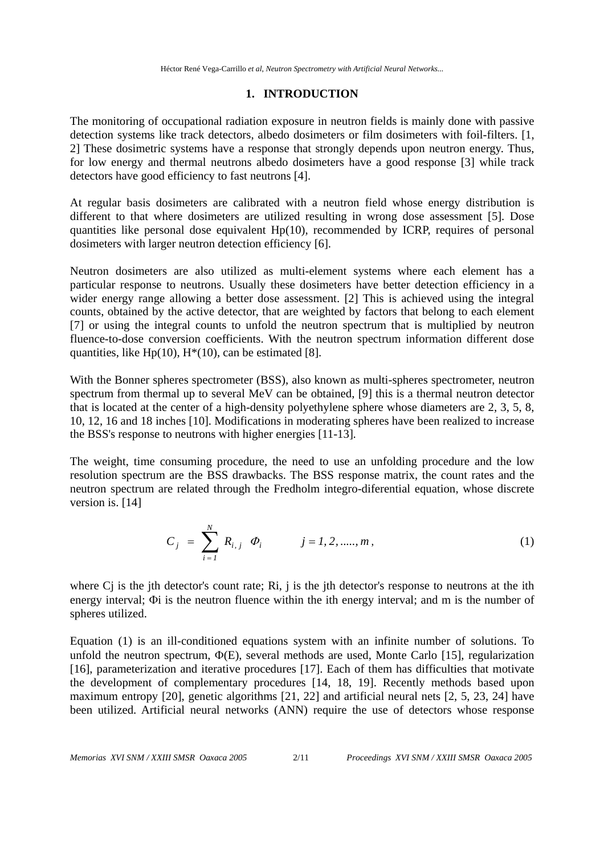Héctor René Vega-Carrillo *et al*, *Neutron Spectrometry with Artificial Neural Networks...*

## **1. INTRODUCTION**

The monitoring of occupational radiation exposure in neutron fields is mainly done with passive detection systems like track detectors, albedo dosimeters or film dosimeters with foil-filters. [1, 2] These dosimetric systems have a response that strongly depends upon neutron energy. Thus, for low energy and thermal neutrons albedo dosimeters have a good response [3] while track detectors have good efficiency to fast neutrons [4].

At regular basis dosimeters are calibrated with a neutron field whose energy distribution is different to that where dosimeters are utilized resulting in wrong dose assessment [5]. Dose quantities like personal dose equivalent  $Hp(10)$ , recommended by ICRP, requires of personal dosimeters with larger neutron detection efficiency [6].

Neutron dosimeters are also utilized as multi-element systems where each element has a particular response to neutrons. Usually these dosimeters have better detection efficiency in a wider energy range allowing a better dose assessment. [2] This is achieved using the integral counts, obtained by the active detector, that are weighted by factors that belong to each element [7] or using the integral counts to unfold the neutron spectrum that is multiplied by neutron fluence-to-dose conversion coefficients. With the neutron spectrum information different dose quantities, like Hp(10),  $H^*(10)$ , can be estimated [8].

With the Bonner spheres spectrometer (BSS), also known as multi-spheres spectrometer, neutron spectrum from thermal up to several MeV can be obtained, [9] this is a thermal neutron detector that is located at the center of a high-density polyethylene sphere whose diameters are 2, 3, 5, 8, 10, 12, 16 and 18 inches [10]. Modifications in moderating spheres have been realized to increase the BSS's response to neutrons with higher energies [11-13].

The weight, time consuming procedure, the need to use an unfolding procedure and the low resolution spectrum are the BSS drawbacks. The BSS response matrix, the count rates and the neutron spectrum are related through the Fredholm integro-diferential equation, whose discrete version is. [14]

$$
C_j = \sum_{i=1}^{N} R_{i,j} \Phi_i \qquad j = 1, 2, \dots, m,
$$
 (1)

where C<sub>j</sub> is the jth detector's count rate; Ri, j is the jth detector's response to neutrons at the ith energy interval; Φi is the neutron fluence within the ith energy interval; and m is the number of spheres utilized.

Equation (1) is an ill-conditioned equations system with an infinite number of solutions. To unfold the neutron spectrum, Φ(E), several methods are used, Monte Carlo [15], regularization [16], parameterization and iterative procedures [17]. Each of them has difficulties that motivate the development of complementary procedures [14, 18, 19]. Recently methods based upon maximum entropy [20], genetic algorithms [21, 22] and artificial neural nets [2, 5, 23, 24] have been utilized. Artificial neural networks (ANN) require the use of detectors whose response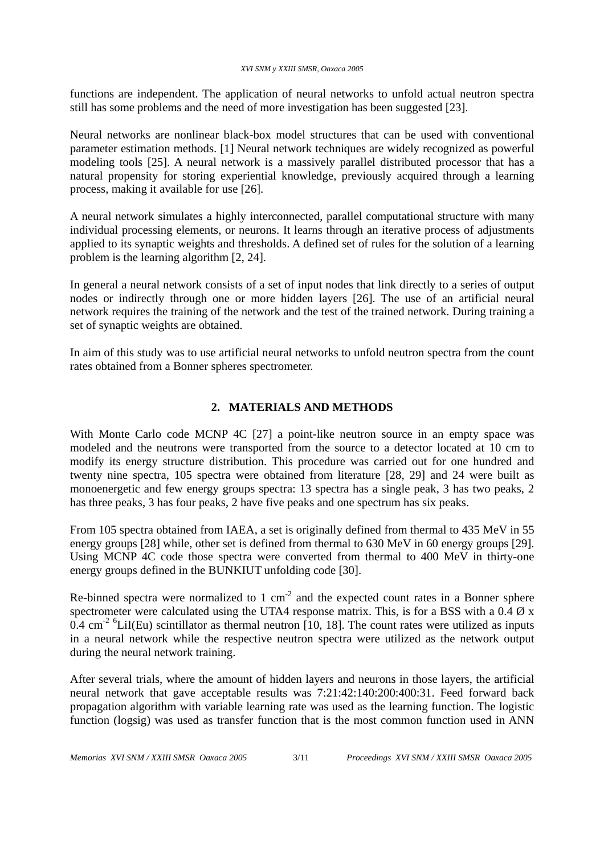### *XVI SNM y XXIII SMSR, Oaxaca 2005*

functions are independent. The application of neural networks to unfold actual neutron spectra still has some problems and the need of more investigation has been suggested [23].

Neural networks are nonlinear black-box model structures that can be used with conventional parameter estimation methods. [1] Neural network techniques are widely recognized as powerful modeling tools [25]. A neural network is a massively parallel distributed processor that has a natural propensity for storing experiential knowledge, previously acquired through a learning process, making it available for use [26].

A neural network simulates a highly interconnected, parallel computational structure with many individual processing elements, or neurons. It learns through an iterative process of adjustments applied to its synaptic weights and thresholds. A defined set of rules for the solution of a learning problem is the learning algorithm [2, 24].

In general a neural network consists of a set of input nodes that link directly to a series of output nodes or indirectly through one or more hidden layers [26]. The use of an artificial neural network requires the training of the network and the test of the trained network. During training a set of synaptic weights are obtained.

In aim of this study was to use artificial neural networks to unfold neutron spectra from the count rates obtained from a Bonner spheres spectrometer.

# **2. MATERIALS AND METHODS**

With Monte Carlo code MCNP 4C [27] a point-like neutron source in an empty space was modeled and the neutrons were transported from the source to a detector located at 10 cm to modify its energy structure distribution. This procedure was carried out for one hundred and twenty nine spectra, 105 spectra were obtained from literature [28, 29] and 24 were built as monoenergetic and few energy groups spectra: 13 spectra has a single peak, 3 has two peaks, 2 has three peaks, 3 has four peaks, 2 have five peaks and one spectrum has six peaks.

From 105 spectra obtained from IAEA, a set is originally defined from thermal to 435 MeV in 55 energy groups [28] while, other set is defined from thermal to 630 MeV in 60 energy groups [29]. Using MCNP 4C code those spectra were converted from thermal to 400 MeV in thirty-one energy groups defined in the BUNKIUT unfolding code [30].

Re-binned spectra were normalized to 1 cm<sup>-2</sup> and the expected count rates in a Bonner sphere spectrometer were calculated using the UTA4 response matrix. This, is for a BSS with a  $0.4 \times x$  $0.4 \text{ cm}^{-2}$  <sup>6</sup>LiI(Eu) scintillator as thermal neutron [10, 18]. The count rates were utilized as inputs in a neural network while the respective neutron spectra were utilized as the network output during the neural network training.

After several trials, where the amount of hidden layers and neurons in those layers, the artificial neural network that gave acceptable results was 7:21:42:140:200:400:31. Feed forward back propagation algorithm with variable learning rate was used as the learning function. The logistic function (logsig) was used as transfer function that is the most common function used in ANN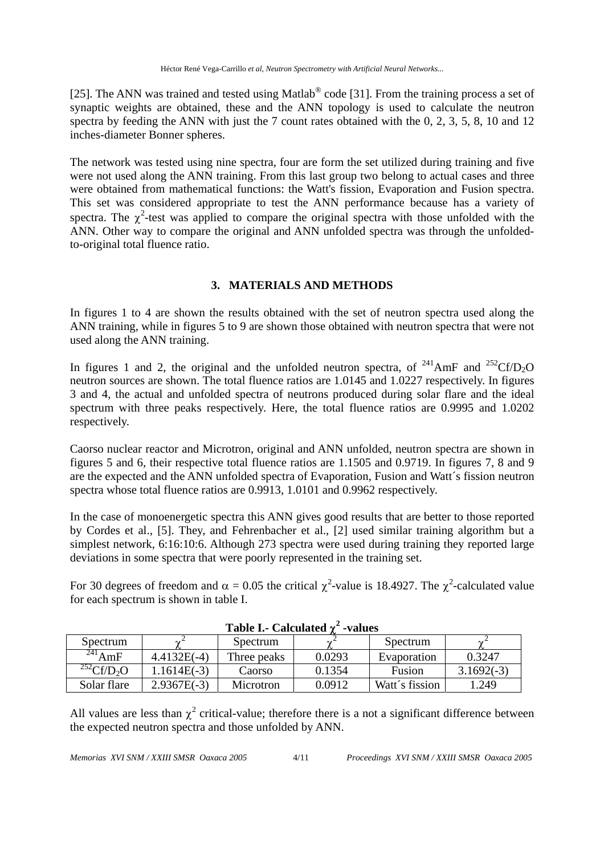[25]. The ANN was trained and tested using Matlab<sup>®</sup> code [31]. From the training process a set of synaptic weights are obtained, these and the ANN topology is used to calculate the neutron spectra by feeding the ANN with just the 7 count rates obtained with the 0, 2, 3, 5, 8, 10 and 12 inches-diameter Bonner spheres.

The network was tested using nine spectra, four are form the set utilized during training and five were not used along the ANN training. From this last group two belong to actual cases and three were obtained from mathematical functions: the Watt's fission, Evaporation and Fusion spectra. This set was considered appropriate to test the ANN performance because has a variety of spectra. The  $\chi^2$ -test was applied to compare the original spectra with those unfolded with the ANN. Other way to compare the original and ANN unfolded spectra was through the unfoldedto-original total fluence ratio.

# **3. MATERIALS AND METHODS**

In figures 1 to 4 are shown the results obtained with the set of neutron spectra used along the ANN training, while in figures 5 to 9 are shown those obtained with neutron spectra that were not used along the ANN training.

In figures 1 and 2, the original and the unfolded neutron spectra, of  $^{241}$ AmF and  $^{252}$ Cf/D<sub>2</sub>O neutron sources are shown. The total fluence ratios are 1.0145 and 1.0227 respectively. In figures 3 and 4, the actual and unfolded spectra of neutrons produced during solar flare and the ideal spectrum with three peaks respectively. Here, the total fluence ratios are 0.9995 and 1.0202 respectively.

Caorso nuclear reactor and Microtron, original and ANN unfolded, neutron spectra are shown in figures 5 and 6, their respective total fluence ratios are 1.1505 and 0.9719. In figures 7, 8 and 9 are the expected and the ANN unfolded spectra of Evaporation, Fusion and Watt´s fission neutron spectra whose total fluence ratios are 0.9913, 1.0101 and 0.9962 respectively.

In the case of monoenergetic spectra this ANN gives good results that are better to those reported by Cordes et al., [5]. They, and Fehrenbacher et al., [2] used similar training algorithm but a simplest network, 6:16:10:6. Although 273 spectra were used during training they reported large deviations in some spectra that were poorly represented in the training set.

For 30 degrees of freedom and  $\alpha = 0.05$  the critical  $\chi^2$ -value is 18.4927. The  $\chi^2$ -calculated value for each spectrum is shown in table I.

| Lavit L. Calculattu L<br>-vaiuts |               |                  |        |                |              |  |  |  |
|----------------------------------|---------------|------------------|--------|----------------|--------------|--|--|--|
| Spectrum                         |               | Spectrum         |        | Spectrum       |              |  |  |  |
| $^{241}$ AmF                     | $4.4132E(-4)$ | Three peaks      | 0.0293 | Evaporation    | 0.3247       |  |  |  |
| $^{252}$ Cf/D <sub>2</sub> O     | $1.1614E(-3)$ | Caorso           | 0.1354 | Fusion         | $3.1692(-3)$ |  |  |  |
| Solar flare                      | $2.9367E(-3)$ | <b>Microtron</b> | 0.0912 | Watt's fission | .249         |  |  |  |

| Table I.- Calculated $\chi^2$ -values |  |
|---------------------------------------|--|
|                                       |  |

All values are less than  $\chi^2$  critical-value; therefore there is a not a significant difference between the expected neutron spectra and those unfolded by ANN.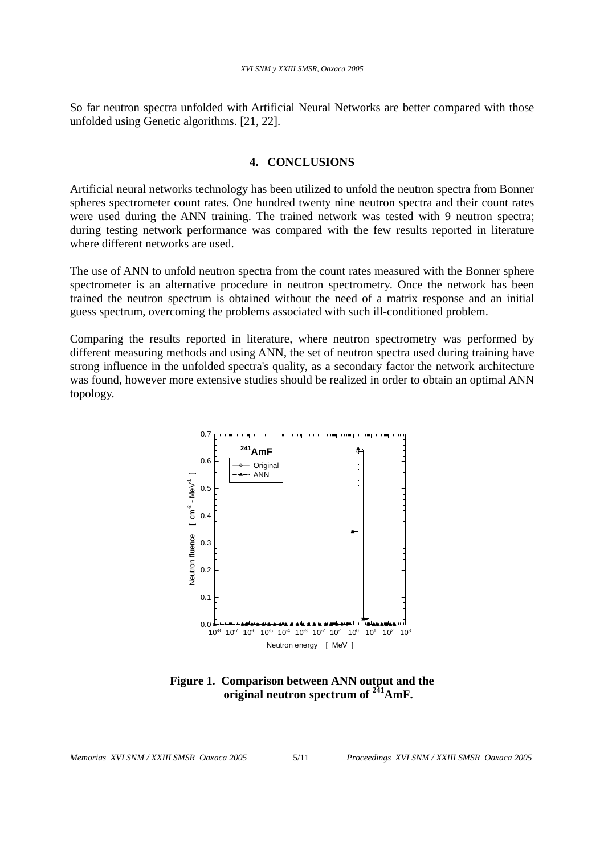So far neutron spectra unfolded with Artificial Neural Networks are better compared with those unfolded using Genetic algorithms. [21, 22].

## **4. CONCLUSIONS**

Artificial neural networks technology has been utilized to unfold the neutron spectra from Bonner spheres spectrometer count rates. One hundred twenty nine neutron spectra and their count rates were used during the ANN training. The trained network was tested with 9 neutron spectra; during testing network performance was compared with the few results reported in literature where different networks are used.

The use of ANN to unfold neutron spectra from the count rates measured with the Bonner sphere spectrometer is an alternative procedure in neutron spectrometry. Once the network has been trained the neutron spectrum is obtained without the need of a matrix response and an initial guess spectrum, overcoming the problems associated with such ill-conditioned problem.

Comparing the results reported in literature, where neutron spectrometry was performed by different measuring methods and using ANN, the set of neutron spectra used during training have strong influence in the unfolded spectra's quality, as a secondary factor the network architecture was found, however more extensive studies should be realized in order to obtain an optimal ANN topology.



**Figure 1. Comparison between ANN output and the original neutron spectrum of 241AmF.**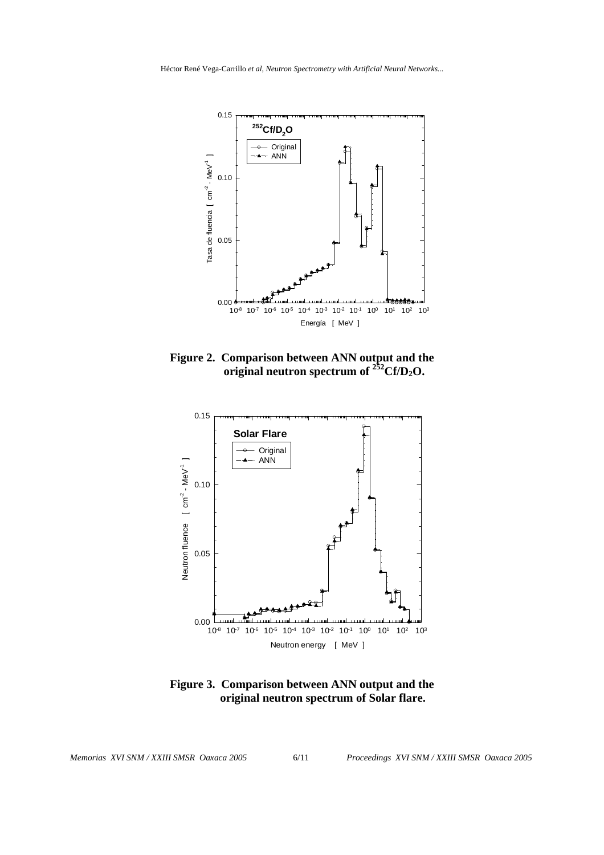

**Figure 2. Comparison between ANN output and the b** original neutron spectrum of  $252 \text{Cf/D}_2\text{O}$ .



**Figure 3. Comparison between ANN output and the original neutron spectrum of Solar flare.**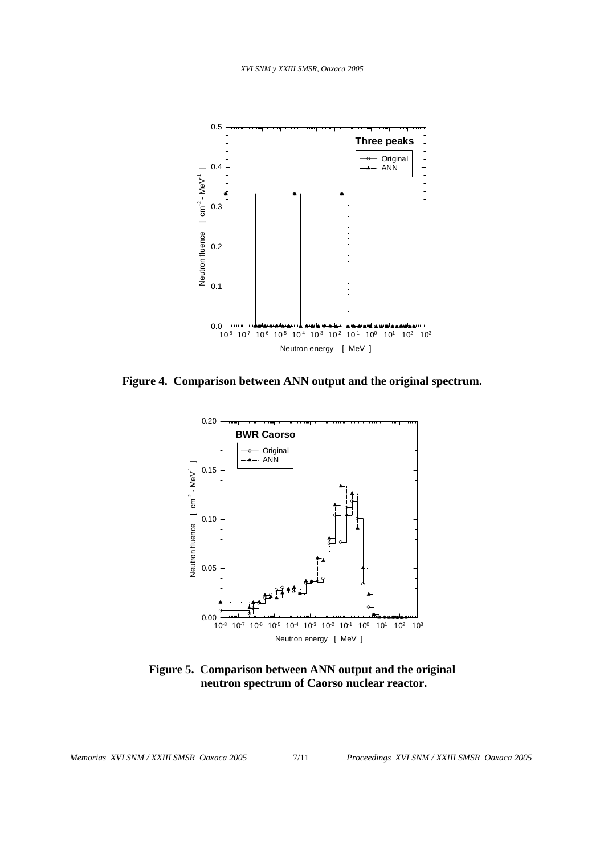

**Figure 4. Comparison between ANN output and the original spectrum.** 



**Figure 5. Comparison between ANN output and the original neutron spectrum of Caorso nuclear reactor.**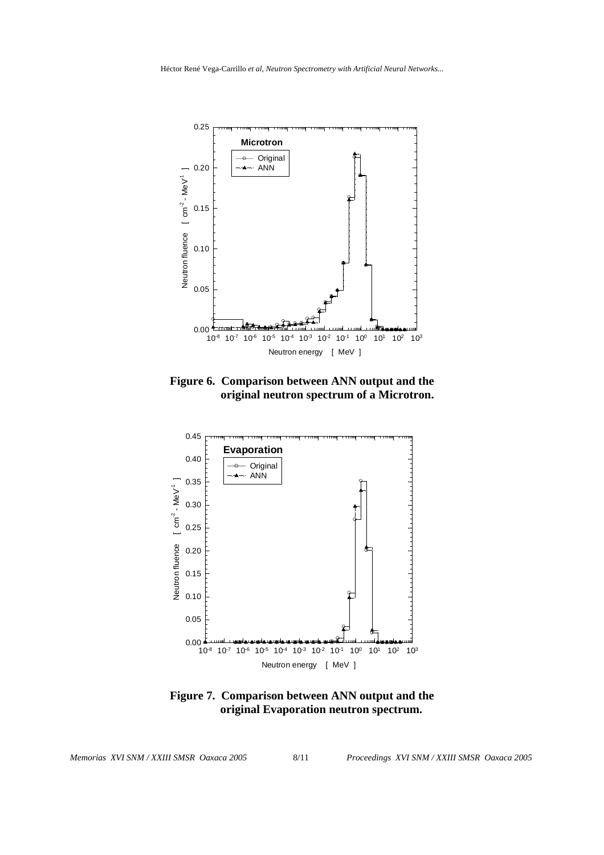

**Figure 6. Comparison between ANN output and the original neutron spectrum of a Microtron.** 



**Figure 7. Comparison between ANN output and the original Evaporation neutron spectrum.**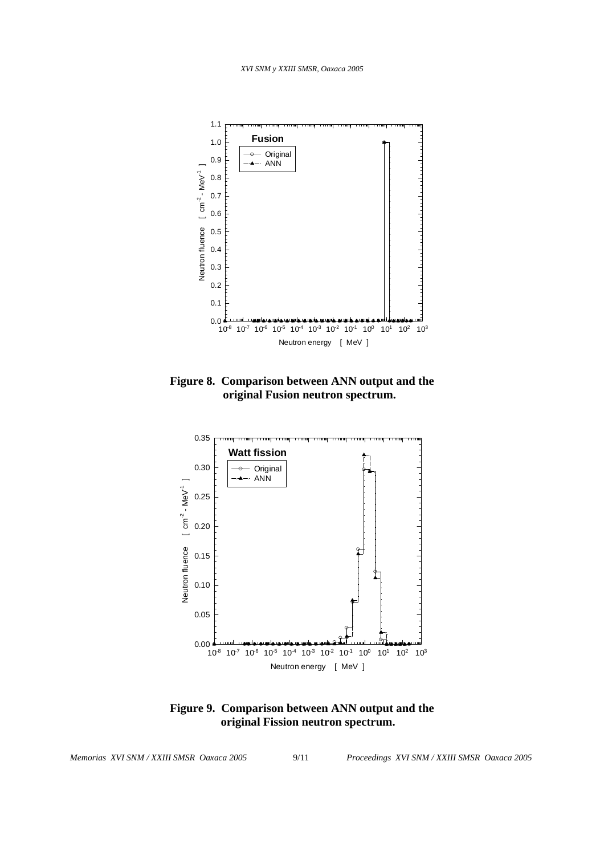

**Figure 8. Comparison between ANN output and the original Fusion neutron spectrum.** 



**Figure 9. Comparison between ANN output and the original Fission neutron spectrum.**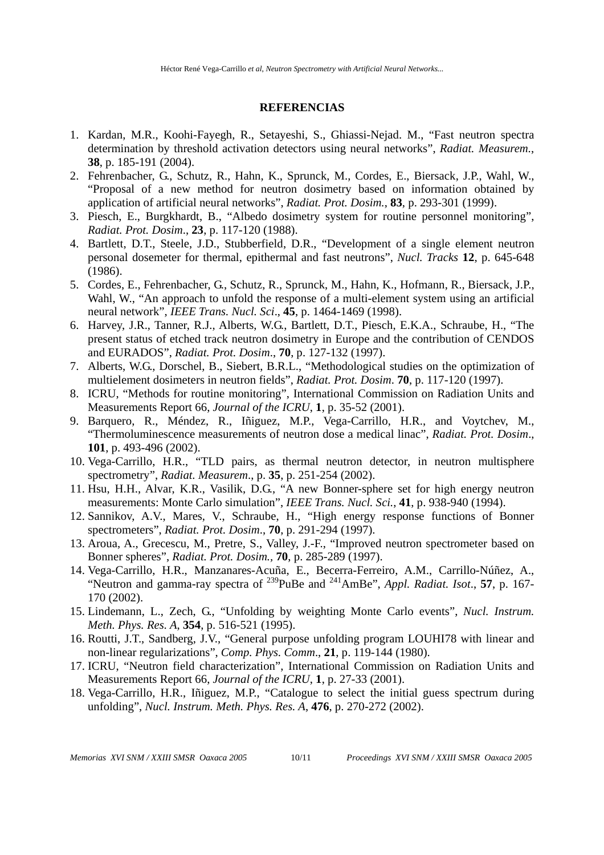### **REFERENCIAS**

- 1. Kardan, M.R., Koohi-Fayegh, R., Setayeshi, S., Ghiassi-Nejad. M., "Fast neutron spectra determination by threshold activation detectors using neural networks", *Radiat. Measurem.*, **38**, p. 185-191 (2004).
- 2. Fehrenbacher, G., Schutz, R., Hahn, K., Sprunck, M., Cordes, E., Biersack, J.P., Wahl, W., "Proposal of a new method for neutron dosimetry based on information obtained by application of artificial neural networks", *Radiat. Prot. Dosim.*, **83**, p. 293-301 (1999).
- 3. Piesch, E., Burgkhardt, B., "Albedo dosimetry system for routine personnel monitoring", *Radiat. Prot. Dosim*., **23**, p. 117-120 (1988).
- 4. Bartlett, D.T., Steele, J.D., Stubberfield, D.R., "Development of a single element neutron personal dosemeter for thermal, epithermal and fast neutrons", *Nucl. Tracks* **12**, p. 645-648 (1986).
- 5. Cordes, E., Fehrenbacher, G., Schutz, R., Sprunck, M., Hahn, K., Hofmann, R., Biersack, J.P., Wahl, W., "An approach to unfold the response of a multi-element system using an artificial neural network", *IEEE Trans. Nucl. Sci*., **45**, p. 1464-1469 (1998).
- 6. Harvey, J.R., Tanner, R.J., Alberts, W.G., Bartlett, D.T., Piesch, E.K.A., Schraube, H., "The present status of etched track neutron dosimetry in Europe and the contribution of CENDOS and EURADOS", *Radiat. Prot. Dosim*., **70**, p. 127-132 (1997).
- 7. Alberts, W.G., Dorschel, B., Siebert, B.R.L., "Methodological studies on the optimization of multielement dosimeters in neutron fields", *Radiat. Prot. Dosim*. **70**, p. 117-120 (1997).
- 8. ICRU, "Methods for routine monitoring", International Commission on Radiation Units and Measurements Report 66, *Journal of the ICRU*, **1**, p. 35-52 (2001).
- 9. Barquero, R., Méndez, R., Iñiguez, M.P., Vega-Carrillo, H.R., and Voytchev, M., "Thermoluminescence measurements of neutron dose a medical linac", *Radiat. Prot. Dosim*., **101**, p. 493-496 (2002).
- 10. Vega-Carrillo, H.R., "TLD pairs, as thermal neutron detector, in neutron multisphere spectrometry", *Radiat. Measurem*., p. **35**, p. 251-254 (2002).
- 11. Hsu, H.H., Alvar, K.R., Vasilik, D.G., "A new Bonner-sphere set for high energy neutron measurements: Monte Carlo simulation", *IEEE Trans. Nucl. Sci.*, **41**, p. 938-940 (1994).
- 12. Sannikov, A.V., Mares, V., Schraube, H., "High energy response functions of Bonner spectrometers", *Radiat. Prot. Dosim*., **70**, p. 291-294 (1997).
- 13. Aroua, A., Grecescu, M., Pretre, S., Valley, J.-F., "Improved neutron spectrometer based on Bonner spheres", *Radiat. Prot. Dosim.,* **70**, p. 285-289 (1997).
- 14. Vega-Carrillo, H.R., Manzanares-Acuña, E., Becerra-Ferreiro, A.M., Carrillo-Núñez, A., "Neutron and gamma-ray spectra of 239PuBe and 241AmBe", *Appl. Radiat. Isot*., **57**, p. 167- 170 (2002).
- 15. Lindemann, L., Zech, G., "Unfolding by weighting Monte Carlo events", *Nucl. Instrum. Meth. Phys. Res. A*, **354**, p. 516-521 (1995).
- 16. Routti, J.T., Sandberg, J.V., "General purpose unfolding program LOUHI78 with linear and non-linear regularizations", *Comp. Phys. Comm*., **21**, p. 119-144 (1980).
- 17. ICRU, "Neutron field characterization", International Commission on Radiation Units and Measurements Report 66, *Journal of the ICRU*, **1**, p. 27-33 (2001).
- 18. Vega-Carrillo, H.R., Iñiguez, M.P., "Catalogue to select the initial guess spectrum during unfolding", *Nucl. Instrum. Meth. Phys. Res. A*, **476**, p. 270-272 (2002).